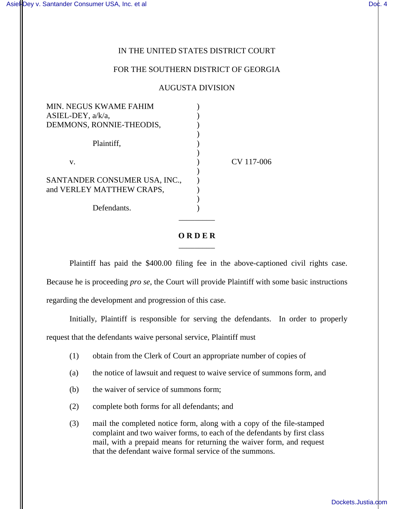## IN THE UNITED STATES DISTRICT COURT

## FOR THE SOUTHERN DISTRICT OF GEORGIA

## AUGUSTA DIVISION

| <b>MIN. NEGUS KWAME FAHIM</b> |            |
|-------------------------------|------------|
| ASIEL-DEY, $a/k/a$ ,          |            |
| DEMMONS, RONNIE-THEODIS,      |            |
|                               |            |
| Plaintiff,                    |            |
|                               |            |
| V.                            | CV 117-006 |
|                               |            |
| SANTANDER CONSUMER USA, INC., |            |
| and VERLEY MATTHEW CRAPS,     |            |
|                               |            |
| Defendants.                   |            |
|                               |            |

## **O R D E R** \_\_\_\_\_\_\_\_\_

Plaintiff has paid the \$400.00 filing fee in the above-captioned civil rights case. Because he is proceeding *pro se*, the Court will provide Plaintiff with some basic instructions regarding the development and progression of this case.

Initially, Plaintiff is responsible for serving the defendants. In order to properly request that the defendants waive personal service, Plaintiff must

- (1) obtain from the Clerk of Court an appropriate number of copies of
- (a) the notice of lawsuit and request to waive service of summons form, and
- (b) the waiver of service of summons form;
- (2) complete both forms for all defendants; and

(3) mail the completed notice form, along with a copy of the file-stamped complaint and two waiver forms, to each of the defendants by first class mail, with a prepaid means for returning the waiver form, and request that the defendant waive formal service of the summons.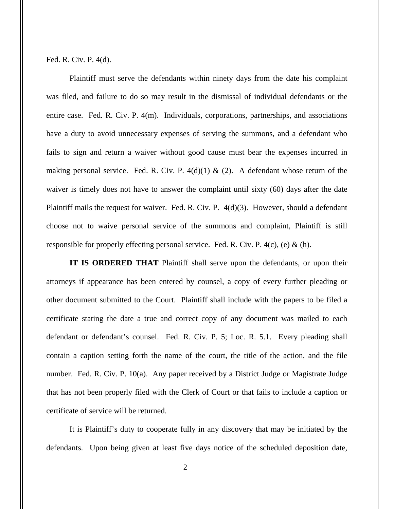Fed. R. Civ. P. 4(d).

Plaintiff must serve the defendants within ninety days from the date his complaint was filed, and failure to do so may result in the dismissal of individual defendants or the entire case. Fed. R. Civ. P. 4(m). Individuals, corporations, partnerships, and associations have a duty to avoid unnecessary expenses of serving the summons, and a defendant who fails to sign and return a waiver without good cause must bear the expenses incurred in making personal service. Fed. R. Civ. P.  $4(d)(1) \& (2)$ . A defendant whose return of the waiver is timely does not have to answer the complaint until sixty (60) days after the date Plaintiff mails the request for waiver. Fed. R. Civ. P. 4(d)(3). However, should a defendant choose not to waive personal service of the summons and complaint, Plaintiff is still responsible for properly effecting personal service. Fed. R. Civ. P.  $4(c)$ , (e) & (h).

**IT IS ORDERED THAT** Plaintiff shall serve upon the defendants, or upon their attorneys if appearance has been entered by counsel, a copy of every further pleading or other document submitted to the Court. Plaintiff shall include with the papers to be filed a certificate stating the date a true and correct copy of any document was mailed to each defendant or defendant's counsel. Fed. R. Civ. P. 5; Loc. R. 5.1. Every pleading shall contain a caption setting forth the name of the court, the title of the action, and the file number. Fed. R. Civ. P. 10(a). Any paper received by a District Judge or Magistrate Judge that has not been properly filed with the Clerk of Court or that fails to include a caption or certificate of service will be returned.

It is Plaintiff's duty to cooperate fully in any discovery that may be initiated by the defendants. Upon being given at least five days notice of the scheduled deposition date,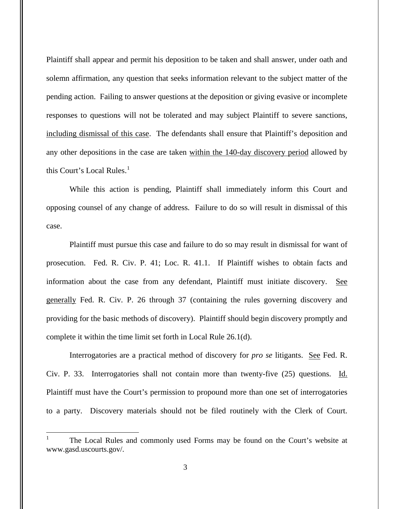Plaintiff shall appear and permit his deposition to be taken and shall answer, under oath and solemn affirmation, any question that seeks information relevant to the subject matter of the pending action. Failing to answer questions at the deposition or giving evasive or incomplete responses to questions will not be tolerated and may subject Plaintiff to severe sanctions, including dismissal of this case. The defendants shall ensure that Plaintiff's deposition and any other depositions in the case are taken within the 140-day discovery period allowed by this Court's Local Rules. $<sup>1</sup>$  $<sup>1</sup>$  $<sup>1</sup>$ </sup>

While this action is pending, Plaintiff shall immediately inform this Court and opposing counsel of any change of address. Failure to do so will result in dismissal of this case.

Plaintiff must pursue this case and failure to do so may result in dismissal for want of prosecution. Fed. R. Civ. P. 41; Loc. R. 41.1. If Plaintiff wishes to obtain facts and information about the case from any defendant, Plaintiff must initiate discovery. See generally Fed. R. Civ. P. 26 through 37 (containing the rules governing discovery and providing for the basic methods of discovery). Plaintiff should begin discovery promptly and complete it within the time limit set forth in Local Rule 26.1(d).

Interrogatories are a practical method of discovery for *pro se* litigants. See Fed. R. Civ. P. 33. Interrogatories shall not contain more than twenty-five (25) questions. Id. Plaintiff must have the Court's permission to propound more than one set of interrogatories to a party. Discovery materials should not be filed routinely with the Clerk of Court.

 $\overline{a}$ 

<span id="page-2-0"></span><sup>1</sup> The Local Rules and commonly used Forms may be found on the Court's website at www.gasd.uscourts.gov/.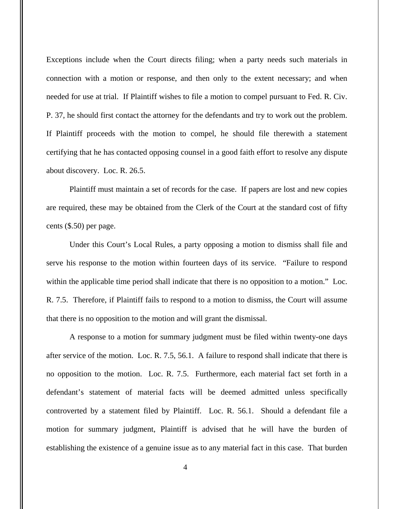Exceptions include when the Court directs filing; when a party needs such materials in connection with a motion or response, and then only to the extent necessary; and when needed for use at trial. If Plaintiff wishes to file a motion to compel pursuant to Fed. R. Civ. P. 37, he should first contact the attorney for the defendants and try to work out the problem. If Plaintiff proceeds with the motion to compel, he should file therewith a statement certifying that he has contacted opposing counsel in a good faith effort to resolve any dispute about discovery. Loc. R. 26.5.

Plaintiff must maintain a set of records for the case. If papers are lost and new copies are required, these may be obtained from the Clerk of the Court at the standard cost of fifty cents (\$.50) per page.

Under this Court's Local Rules, a party opposing a motion to dismiss shall file and serve his response to the motion within fourteen days of its service. "Failure to respond within the applicable time period shall indicate that there is no opposition to a motion." Loc. R. 7.5. Therefore, if Plaintiff fails to respond to a motion to dismiss, the Court will assume that there is no opposition to the motion and will grant the dismissal.

A response to a motion for summary judgment must be filed within twenty-one days after service of the motion. Loc. R. 7.5, 56.1. A failure to respond shall indicate that there is no opposition to the motion. Loc. R. 7.5. Furthermore, each material fact set forth in a defendant's statement of material facts will be deemed admitted unless specifically controverted by a statement filed by Plaintiff. Loc. R. 56.1. Should a defendant file a motion for summary judgment, Plaintiff is advised that he will have the burden of establishing the existence of a genuine issue as to any material fact in this case. That burden